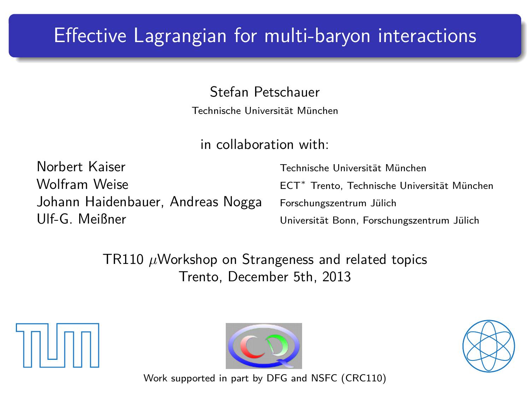# Effective Lagrangian for multi-baryon interactions

Stefan Petschauer

Technische Universität München

in collaboration with:

Norbert Kaiser Technische Universität München Wolfram Weise ECT<sup>∗</sup> Trento, Technische Universität München Johann Haidenbauer, Andreas Nogga Forschungszentrum Jülich Ulf-G. Meißner Universität Bonn, Forschungszentrum Jülich

TR110 *µ*Workshop on Strangeness and related topics Trento, December 5th, 2013

<span id="page-0-0"></span>





Work supported in part by DFG and NSFC (CRC110)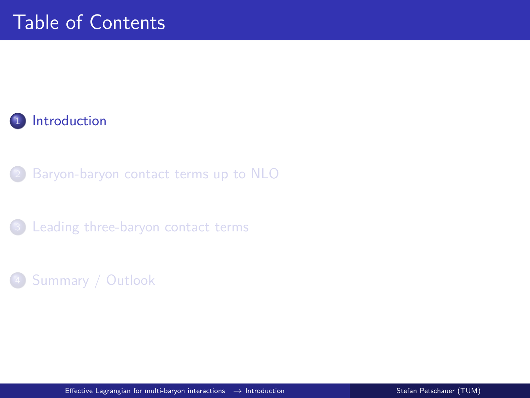#### 1 [Introduction](#page-1-0)

[Baryon-baryon contact terms up to NLO](#page-4-0)

<sup>3</sup> [Leading three-baryon contact terms](#page-12-0)

#### <span id="page-1-0"></span><sup>4</sup> [Summary / Outlook](#page-24-0)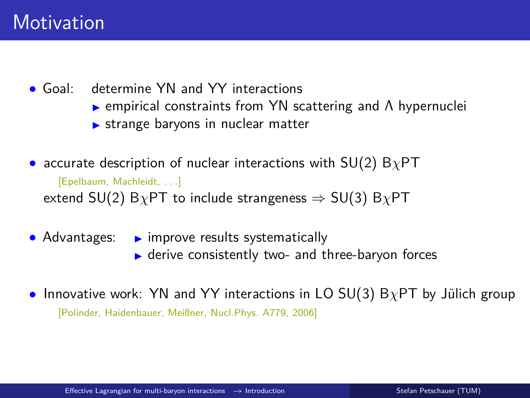• Goal: determine YN and YY interactions

- $\triangleright$  empirical constraints from YN scattering and  $\Lambda$  hypernuclei
- $\triangleright$  strange baryons in nuclear matter

• accurate description of nuclear interactions with SU(2) B*χ*PT

[Epelbaum, Machleidt, *. . .*] extend SU(2) B*χ*PT to include strangeness ⇒ SU(3) B*χ*PT

• Advantages:  $\rightarrow$  improve results systematically  $\blacktriangleright$  derive consistently two- and three-baryon forces

• Innovative work: YN and YY interactions in LO SU(3) B*χ*PT by Jülich group [Polinder, Haidenbauer, Meißner, Nucl.Phys. A779, 2006]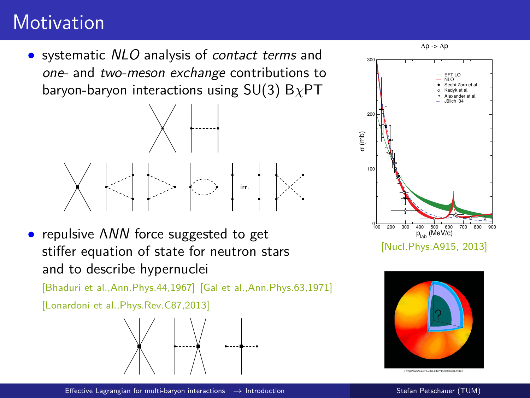# **Motivation**

• systematic NLO analysis of contact terms and one- and two-meson exchange contributions to baryon-baryon interactions using SU(3) B*χ*PT



• repulsive ΛNN force suggested to get stiffer equation of state for neutron stars and to describe hypernuclei

[Bhaduri et al.,Ann.Phys.44,1967] [Gal et al.,Ann.Phys.63,1971]

[Lonardoni et al.,Phys.Rev.C87,2013]









[http://www.astro.und.edu/miller/edar.html]

[Effective Lagrangian for multi-baryon interactions](#page-0-0)  $\rightarrow$  [Introduction](#page-1-0) Stefan Petschauer (TUM)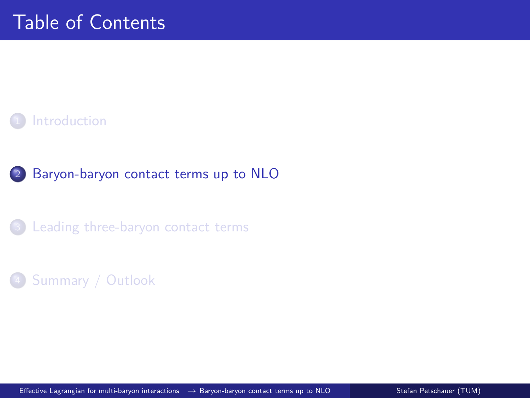

#### [Baryon-baryon contact terms up to NLO](#page-4-0)

[Leading three-baryon contact terms](#page-12-0)

#### <span id="page-4-0"></span>[Summary / Outlook](#page-24-0)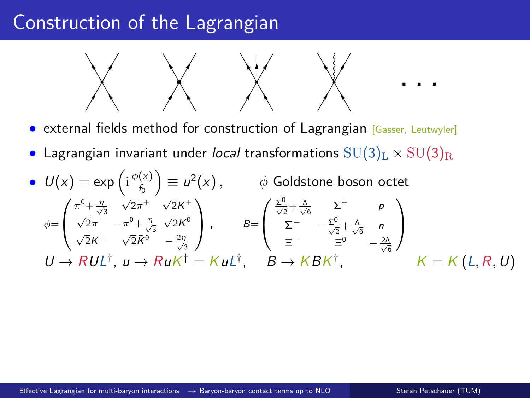# Construction of the Lagrangian



- external fields method for construction of Lagrangian [Gasser, Leutwyler]
- Lagrangian invariant under local transformations  $SU(3)_L \times SU(3)_R$

• 
$$
U(x) = \exp\left(i\frac{\phi(x)}{f_0}\right) \equiv u^2(x), \qquad \phi
$$
 Goldstone boson octet  
\n
$$
\phi = \begin{pmatrix} \pi^0 + \frac{\eta}{\sqrt{3}} & \sqrt{2}\pi^+ & \sqrt{2}K^+ \\ \sqrt{2}\pi^- & -\pi^0 + \frac{\eta}{\sqrt{3}} & \sqrt{2}K^0 \\ \sqrt{2}K^- & \sqrt{2}K^0 & -\frac{2\eta}{\sqrt{3}} \end{pmatrix}, \qquad B = \begin{pmatrix} \frac{\phi}{\sqrt{2}} + \frac{\lambda}{\sqrt{6}} & \Sigma^+ & \rho \\ \Sigma^- & -\frac{\phi}{\sqrt{2}} + \frac{\lambda}{\sqrt{6}} & n \\ \Sigma^- & -\frac{\phi}{\sqrt{2}} + \frac{\lambda}{\sqrt{6}} & n \end{pmatrix}
$$
\n
$$
U \rightarrow RUL^{\dagger}, u \rightarrow R u K^{\dagger} = K u L^{\dagger}, \qquad B \rightarrow K B K^{\dagger}, \qquad K = K (L, R, U)
$$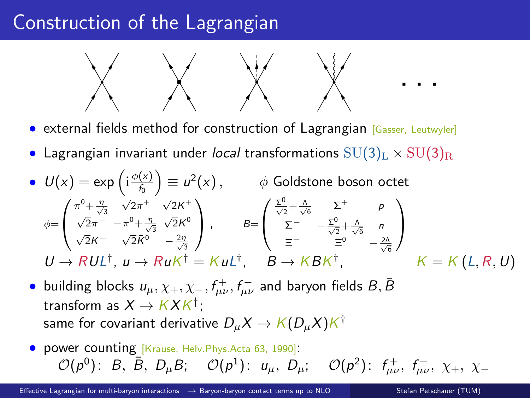# Construction of the Lagrangian



- external fields method for construction of Lagrangian [Gasser, Leutwyler]
- Lagrangian invariant under local transformations  $SU(3)_L \times SU(3)_R$

• 
$$
U(x) = \exp\left(i\frac{\phi(x)}{f_0}\right) \equiv u^2(x), \qquad \phi
$$
 Goldstone boson octet  
\n
$$
\phi = \begin{pmatrix} \pi^0 + \frac{\eta}{\sqrt{3}} & \sqrt{2}\pi^+ & \sqrt{2}K^+ \\ \sqrt{2}\pi^- & -\pi^0 + \frac{\eta}{\sqrt{3}} & \sqrt{2}K^0 \\ \sqrt{2}K^- & \sqrt{2}K^0 & -\frac{2\eta}{\sqrt{3}} \end{pmatrix}, \qquad B = \begin{pmatrix} \frac{\phi}{\sqrt{2}} + \frac{\Lambda}{\sqrt{6}} & \Sigma^+ & p \\ \Sigma^- & -\frac{\phi}{\sqrt{2}} + \frac{\Lambda}{\sqrt{6}} & n \\ \Sigma^- & -\frac{\phi}{\sqrt{2}} + \frac{\Lambda}{\sqrt{6}} & n \end{pmatrix}
$$
\n
$$
U \rightarrow RUL^{\dagger}, u \rightarrow R u K^{\dagger} = K u L^{\dagger}, \qquad B \rightarrow K B K^{\dagger}, \qquad K = K (L, R, U)
$$

- $\bullet$  building blocks  $u_{\mu}, \chi_+, \chi_-, f_{\mu\nu}^+, f_{\mu\nu}^-$  and baryon fields  $B, \bar{B}$ transform as  $X \to K X K^\dagger;$ same for covariant derivative  $D_\mu {\mathcal X} \to {\mathcal K}(D_\mu {\mathcal X}){\mathcal K}^\dagger$
- power counting [Krause, Helv.Phys.Acta 63, 1990]:  $\mathcal{O}(p^0)$ : B, B, D<sub>µ</sub>B;  $\mathcal{O}(p^1)$ :  $u_\mu$ , D<sub>µ</sub>;  $\mathcal{O}(p^2)$ :  $f^+_{\mu\nu}$ ,  $f^-_{\mu\nu}$ ,  $\chi_+$ ,  $\chi_-$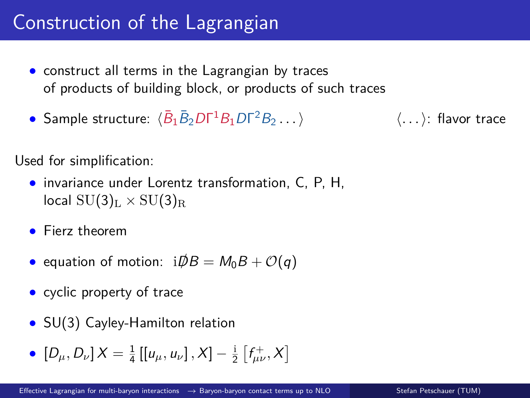# Construction of the Lagrangian

- construct all terms in the Lagrangian by traces of products of building block, or products of such traces
- Sample structure:  $\langle \bar{B}_1 \bar{B}_2 D\Gamma^1 B_1 D\Gamma \rangle$ <sup>2</sup>B<sup>2</sup> *. . .*i h*. . .*i: flavor trace

Used for simplification:

- invariance under Lorentz transformation, C, P, H,  $\text{local SU(3)}_{\text{L}} \times \text{SU(3)}_{\text{R}}$
- Fierz theorem
- equation of motion:  $i\overline{D}B = M_0B + \mathcal{O}(q)$
- cyclic property of trace
- SU(3) Cayley-Hamilton relation
- $[D_{\mu}, D_{\nu}]X = \frac{1}{4} [[u_{\mu}, u_{\nu}], X] \frac{1}{2} [f_{\mu\nu}^{+}, X]$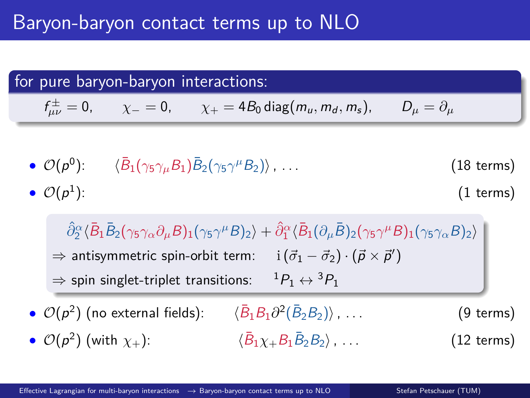#### for pure baryon-baryon interactions:

$$
f^{\pm}_{\mu\nu}=0, \qquad \chi_{-}=0, \qquad \chi_{+}=4B_0 \operatorname{diag}(m_u,m_d,m_s), \qquad D_{\mu}=\partial_{\mu}
$$

\n- \n
$$
\mathcal{O}(p^0)
$$
: \n  $\langle \bar{B}_1(\gamma_5 \gamma_\mu B_1) \bar{B}_2(\gamma_5 \gamma^\mu B_2) \rangle$ , \n  $\ldots$ \n
\n- \n $\mathcal{O}(p^1)$ : \n  $(1 \text{ terms})$ \n
\n

 $\langle \hat{\partial}_2^{\alpha}\langle\bar{B}_1\bar{B}_2(\gamma_5\gamma_{\alpha}\partial_{\mu}B)_1(\gamma_5\gamma^{\mu}B)_2\rangle + \hat{\partial}_1^{\alpha}\langle\bar{B}_1(\partial_{\mu}\bar{B})_2(\gamma_5\gamma^{\mu}B)_1(\gamma_5\gamma_{\alpha}B)_2\rangle$  $\Rightarrow$  antisymmetric spin-orbit term:  $\qquad {\rm i} \left( \vec{\sigma}_1 - \vec{\sigma}_2 \right) \cdot \left( \vec{p} \times \vec{p}' \right)$  $\Rightarrow$  spin singlet-triplet transitions:  ${}^{1}P_1 \leftrightarrow {}^{3}P_1$ 

- $\bullet$   $\mathcal{O}(p^2)$  (no external fields):  $\sqrt{B}$  $B_1B_1\partial^2(\bar{B}_2B_2)\rangle$ , ... (9 terms)
- $\bullet$   $\mathcal{O}(p^2)$  (with  $\chi_+$ ):  $\langle \bar{B}$  $\langle \overline{B}_1 \gamma_+ B_1 \overline{B}_2 B_2 \rangle$  $(12 \text{ terms})$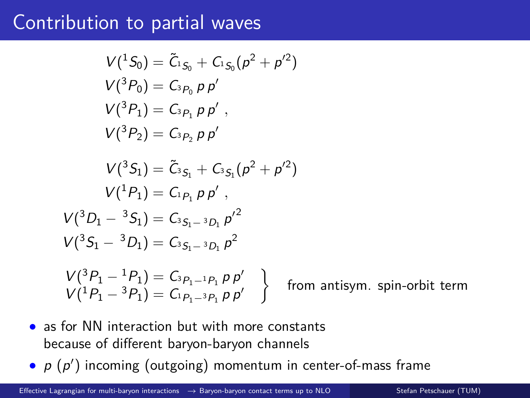### Contribution to partial waves

$$
V(^{1}S_{0}) = \tilde{C}_{^{1}S_{0}} + C_{^{1}S_{0}}(p^{2} + p'^{2})
$$
  
\n
$$
V(^{3}P_{0}) = C_{^{3}P_{0}} p p'
$$
  
\n
$$
V(^{3}P_{1}) = C_{^{3}P_{1}} p p'
$$
  
\n
$$
V(^{3}P_{2}) = C_{^{3}P_{2}} p p'
$$
  
\n
$$
V(^{3}S_{1}) = \tilde{C}_{^{3}S_{1}} + C_{^{3}S_{1}}(p^{2} + p'^{2})
$$
  
\n
$$
V(^{1}P_{1}) = C_{^{1}P_{1}} p p'
$$
  
\n
$$
V(^{3}D_{1} - {}^{3}S_{1}) = C_{^{3}S_{1} - {}^{3}D_{1}} p'^{2}
$$
  
\n
$$
V(^{3}S_{1} - {}^{3}D_{1}) = C_{^{3}S_{1} - {}^{3}D_{1}} p^{2}
$$
  
\n
$$
V(^{3}P_{1} - {}^{1}P_{1}) = C_{^{3}P_{1} - {}^{1}P_{1}} p p'
$$
  
\n
$$
V(^{1}P_{1} - {}^{3}P_{1}) = C_{^{1}P_{1} - {}^{3}P_{1}} p p'
$$
  
\nfrom antisym. spin-orbit term

- as for NN interaction but with more constants because of different baryon-baryon channels
- $p(p')$  incoming (outgoing) momentum in center-of-mass frame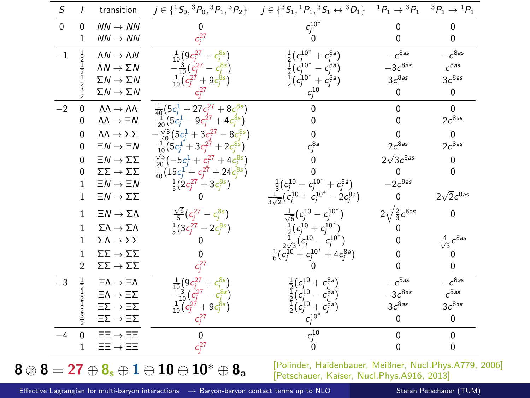| S        | $\prime$                                                                                          | transition                            |                                                      | $j \in \{^1S_0, ^3P_0, ^3P_1, ^3P_2\}$ $j \in \{^3S_1, ^1P_1, ^3S_1 \leftrightarrow ^3D_1\}$ $^1P_1 \rightarrow ^3P_1$ $^3P_1 \rightarrow ^1P_1$                      |                              |                             |
|----------|---------------------------------------------------------------------------------------------------|---------------------------------------|------------------------------------------------------|-----------------------------------------------------------------------------------------------------------------------------------------------------------------------|------------------------------|-----------------------------|
| $\Omega$ | $\mathbf 0$                                                                                       | $NN \rightarrow NN$                   |                                                      | $c_j^{10^*}$                                                                                                                                                          |                              | <sup>0</sup>                |
|          | 1                                                                                                 | $NN \rightarrow NN$                   | $c_i^{27}$                                           |                                                                                                                                                                       | $\Omega$                     | 0                           |
| $-1$     | $\frac{1}{2}$                                                                                     | $\Lambda N \rightarrow \Lambda N$     | $\frac{1}{10}(9c_i^{27}+c_i^{8s})$                   | $\frac{1}{2} (c_j^{10^*} + c_j^{8a})$<br>$\frac{1}{2} (c_j^{10^*} - c_j^{8a})$                                                                                        | $-c^{8as}$                   | $-c^{8as}$                  |
|          |                                                                                                   | $\Lambda N \to \Sigma N$              | $-\frac{3}{10}(c_i^{27}-c_i^{8s})$                   |                                                                                                                                                                       | $-3c^{8as}$                  | c <sup>8as</sup>            |
|          |                                                                                                   | $\Sigma N \rightarrow \Sigma N$       | $\frac{1}{10}(c_i^{27}+9c_i^{8s})$                   | $\frac{1}{2} (c_j^{10^*} + c_j^{8a})$                                                                                                                                 | 3c <sup>8as</sup>            | 3c <sup>8as</sup>           |
|          |                                                                                                   | $\Sigma N \rightarrow \Sigma N$       | $c^{27}$                                             | $c_j^{10}$                                                                                                                                                            | $\Omega$                     | 0                           |
| $-2$     | $\mathbf 0$                                                                                       | $\Lambda\Lambda \to \Lambda\Lambda$   | $\frac{1}{40}(5c_i^1+27c_i^{27}+8c_i^{8s})$          |                                                                                                                                                                       | $\Omega$                     | $\Omega$                    |
|          | 0                                                                                                 | $\Lambda\Lambda \rightarrow \Xi N$    | $\frac{1}{20}(5c_i^1-9c_i^{27}+4c_i^{8s})$           |                                                                                                                                                                       | <sup>0</sup>                 | $2c^{8as}$                  |
|          | 0                                                                                                 | $\Lambda\Lambda\to\Sigma\Sigma$       | $-\frac{\sqrt{3}}{40}(5c_i^1+3c_i^{27}-8c_i^{8s})$   |                                                                                                                                                                       |                              | 0                           |
|          | 0                                                                                                 | $\Xi N \rightarrow \Xi N$             | $\frac{1}{10}(5c_i^1 + 3c_i^{27} + 2c_i^{8s})$       | $c_j^{\delta a}$                                                                                                                                                      | $2c^{8as}$                   | $2c^{8as}$                  |
|          | 0                                                                                                 | $\Xi N \to \Sigma \Sigma$             | $\frac{\sqrt{3}}{20}(-5c_i^1+c_i^{27}+4c_i^{8s})$    |                                                                                                                                                                       | $2\sqrt{3}c^{8as}$           | 0                           |
|          | 0                                                                                                 | $\Sigma\Sigma\to\Sigma\Sigma$         | $\frac{1}{40}(15c_i^1+c_i^{27}+24c_i^{8s})$          |                                                                                                                                                                       | $\Omega$                     | 0                           |
|          | 1                                                                                                 | $\Xi N \rightarrow \Xi N$             | $\frac{1}{5}(2c_i^{27}+3c_i^{8s})$                   | $\frac{1}{3}(c_j^{10}+c_i^{10^*}+c_i^{8a})$                                                                                                                           | $-2c^{8as}$                  |                             |
|          | 1                                                                                                 | $\Xi N \to \Sigma \Sigma$             | o                                                    | $\frac{1}{2\sqrt{2}}(c_i^{10}+c_i^{10^*}-2c_i^{8a})$                                                                                                                  | $\mathbf 0$                  | $2\sqrt{2}c^{8as}$          |
|          | 1                                                                                                 | $\Xi N \rightarrow \Sigma \Lambda$    | $\frac{\sqrt{6}}{5}(c_i^{27}-c_i^{8s})$              | $\frac{1}{\sqrt{6}}(c_j^{10}-c_j^{10^*})$                                                                                                                             | $2\sqrt{\frac{2}{3}}c^{8as}$ | 0                           |
|          | 1                                                                                                 | $\Sigma\Lambda\to\Sigma\Lambda$       | $\frac{1}{5}(3c_i^{27}+2c_i^{8s})$                   |                                                                                                                                                                       |                              |                             |
|          | 1                                                                                                 | $\Sigma\Lambda\to\Sigma\Sigma$        |                                                      | $\frac{\frac{1}{2}(c_j^{10}+c_j^{10^*})}{\frac{1}{2\sqrt{3}}(c_j^{10}-c_j^{10^*})}$                                                                                   |                              | $\frac{4}{\sqrt{3}}c^{8as}$ |
|          | 1                                                                                                 | $\Sigma\Sigma\to\Sigma\Sigma$         |                                                      | $\frac{1}{6}(c_i^{10}+c_i^{10^*}+4c_i^{8a})$                                                                                                                          |                              |                             |
|          | 2                                                                                                 | $\Sigma\Sigma\to\Sigma\Sigma$         | $c^{27}$                                             |                                                                                                                                                                       |                              | 0                           |
| $-3$     |                                                                                                   | $\Xi \Lambda \rightarrow \Xi \Lambda$ | $\frac{1}{10}(9c_i^{27}+c_i^{8s})$                   |                                                                                                                                                                       | $-c^{8as}$                   | $-c^{8\overline{as}}$       |
|          |                                                                                                   | $\Xi \Lambda \rightarrow \Xi \Sigma$  | $-\frac{3}{10}(\frac{c^{27}}{2} - \frac{c^{8s}}{2})$ |                                                                                                                                                                       | $-3c^{8as}$                  | c <sup>8as</sup>            |
|          | $\frac{1}{2}$ $\frac{1}{2}$ $\frac{1}{2}$ $\frac{1}{2}$ $\frac{1}{2}$ $\frac{1}{2}$ $\frac{3}{2}$ | $\Xi\Sigma\to\Xi\Sigma$               | $\frac{1}{10}(c_i^{27}+9c_i^{8s})$                   | $\begin{array}{l} \frac{1}{2}\bigl(c^{10}_j + c^{8a}_j\bigr) \\ \frac{1}{2}\bigl(c^{10}_j - c^{8a}_j\bigr) \\ \frac{1}{2}\bigl(c^{10}_j + c^{8a}_j\bigr) \end{array}$ | $3c^{8as}$                   | $3c^{8as}$                  |
|          |                                                                                                   | $\Xi\Sigma\to\Xi\Sigma$               |                                                      | $c_j^{10^+}$                                                                                                                                                          | $\Omega$                     | 0                           |
| $-4$     | $\overline{0}$                                                                                    | $\Xi \Xi \rightarrow \Xi \Xi$         | U                                                    | $c_j^{10}$                                                                                                                                                            | $\Omega$                     | $\mathbf 0$                 |
|          | 1                                                                                                 | $\Xi \Xi \rightarrow \Xi \Xi$         | $c_i^{27}$                                           |                                                                                                                                                                       | $\Omega$                     | 0                           |

[Effective Lagrangian for multi-baryon interactions](#page-0-0) → [Baryon-baryon contact terms up to NLO](#page-4-0) Stefan Petschauer (TUM)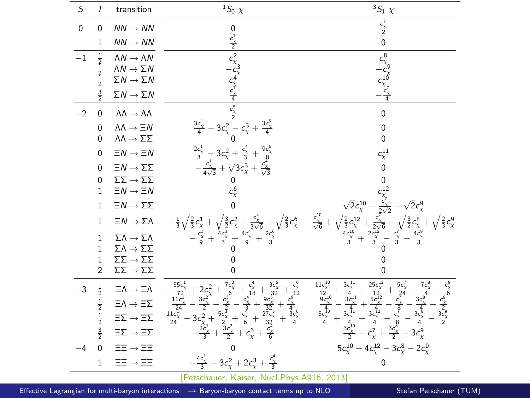| $\cal S$    | $\prime$                                                | transition                                 | ${}^1S_0$ $\chi$                                                                                                                                                                                                                                                                                                                                                            | ${}^3S_1$ $\chi$                                                                                                                                                                                                                                                                                                                           |
|-------------|---------------------------------------------------------|--------------------------------------------|-----------------------------------------------------------------------------------------------------------------------------------------------------------------------------------------------------------------------------------------------------------------------------------------------------------------------------------------------------------------------------|--------------------------------------------------------------------------------------------------------------------------------------------------------------------------------------------------------------------------------------------------------------------------------------------------------------------------------------------|
| $\mathbf 0$ | 0                                                       | $NN \rightarrow NN$                        |                                                                                                                                                                                                                                                                                                                                                                             | $\frac{c_X^7}{2}$                                                                                                                                                                                                                                                                                                                          |
|             | $\mathbf{1}$                                            | $NN \rightarrow NN$                        |                                                                                                                                                                                                                                                                                                                                                                             | $\mathbf 0$                                                                                                                                                                                                                                                                                                                                |
| $-1$        |                                                         | $\Lambda N \rightarrow \Lambda N$          |                                                                                                                                                                                                                                                                                                                                                                             |                                                                                                                                                                                                                                                                                                                                            |
|             | $\frac{1}{2}$ $\frac{1}{2}$ $\frac{1}{2}$ $\frac{1}{2}$ | $\Lambda N \to \Sigma N$                   |                                                                                                                                                                                                                                                                                                                                                                             |                                                                                                                                                                                                                                                                                                                                            |
|             |                                                         | $\Sigma N \rightarrow \Sigma N$            |                                                                                                                                                                                                                                                                                                                                                                             | $c_{\chi_9}^8$<br>$-c_{\chi_7}^8$<br>$c_{\chi_7}^{10}$<br>$-c_{\chi_7}^2$                                                                                                                                                                                                                                                                  |
|             | $\frac{3}{2}$                                           | $\Sigma N \rightarrow \Sigma N$            |                                                                                                                                                                                                                                                                                                                                                                             |                                                                                                                                                                                                                                                                                                                                            |
| $-2$        | 0                                                       | $\Lambda\Lambda \to \Lambda\Lambda$        | $\begin{array}{ c c } \hline & 0 \\ \hline & 0 \\ \hline & -\frac{c_1^2}{2} \\ \hline & -\frac{c_1^2}{2} \\ \hline & -\frac{c_1^2}{2} \\ \hline & -\frac{c_1^2}{2} \\ \hline & -3 & c_1^2 - c_2^3 + \frac{3c_1^4}{4} \\ \hline & -\frac{c_1^4}{4\sqrt{3}} + \sqrt{3}c_1^3 + \frac{9c_1^4}{\sqrt{3}} \\ \hline \end{array}$                                                  | $\pmb{0}$                                                                                                                                                                                                                                                                                                                                  |
|             | 0                                                       | $\Lambda\Lambda \to \Xi N$                 |                                                                                                                                                                                                                                                                                                                                                                             | 0                                                                                                                                                                                                                                                                                                                                          |
|             | 0                                                       | $\Lambda\Lambda\to\Sigma\Sigma$            |                                                                                                                                                                                                                                                                                                                                                                             | 0                                                                                                                                                                                                                                                                                                                                          |
|             | $\Omega$                                                | $\Xi N \rightarrow \Xi N$                  |                                                                                                                                                                                                                                                                                                                                                                             | $c_{\chi}^{11}$                                                                                                                                                                                                                                                                                                                            |
|             | 0                                                       | $\Xi N \to \Sigma \Sigma$                  |                                                                                                                                                                                                                                                                                                                                                                             | 0                                                                                                                                                                                                                                                                                                                                          |
|             | $\mathbf 0$                                             | $\Sigma\Sigma\to\Sigma\Sigma$              |                                                                                                                                                                                                                                                                                                                                                                             |                                                                                                                                                                                                                                                                                                                                            |
|             | $\mathbf{1}$                                            | $\Xi N \rightarrow \Xi N$                  |                                                                                                                                                                                                                                                                                                                                                                             |                                                                                                                                                                                                                                                                                                                                            |
|             | $\mathbf{1}$                                            | $\Xi N \to \Sigma \Sigma$                  |                                                                                                                                                                                                                                                                                                                                                                             |                                                                                                                                                                                                                                                                                                                                            |
|             | $\mathbf{1}$                                            | $\Xi N \to \Sigma \Lambda$                 | $\begin{array}{c}-\frac{1}{3}\sqrt{\frac{2}{3}}c_{\chi}^{1}+\sqrt{\frac{3}{2}}c_{\chi}^{2}-\frac{c_{\chi}^{4}}{3\sqrt{6}}-\sqrt{\frac{2}{3}}c_{\chi}^{6}\\-\frac{c_{\chi}^{1}}{9}+\frac{4c_{\chi}^{3}}{3}+\frac{4c_{\chi}^{4}}{9}+\frac{2c_{\chi}^{6}}{3}\end{array}$                                                                                                       | $\zeta_2^{12}\zeta_3^{10} - \zeta_3^{12}\zeta_3^{10} - \zeta_3^{12}\zeta_3^{10} + \sqrt{\frac{2}{3}}\zeta_3^{12} + \frac{\zeta_3^{12}}{2\sqrt{5}} - \sqrt{\frac{3}{2}}\zeta_3^{12} + \sqrt{\frac{2}{3}}\zeta_3^{12}\zeta_3^{10} + \frac{2\zeta_3^{10}}{3} - \frac{\zeta_3^{10}}{3} - \frac{\zeta_3^{10}}{3} - \frac{\zeta_3^{10}}{3}$      |
|             | $\mathbf{1}$                                            | $\Sigma\Lambda\to\Sigma\Lambda$            |                                                                                                                                                                                                                                                                                                                                                                             |                                                                                                                                                                                                                                                                                                                                            |
|             | $\mathbf{1}$                                            | $\Sigma \Lambda \rightarrow \Sigma \Sigma$ |                                                                                                                                                                                                                                                                                                                                                                             |                                                                                                                                                                                                                                                                                                                                            |
|             | $\,1$                                                   | $\Sigma\Sigma\to\Sigma\Sigma$              |                                                                                                                                                                                                                                                                                                                                                                             |                                                                                                                                                                                                                                                                                                                                            |
|             | $\overline{2}$                                          | $\Sigma\Sigma\to\Sigma\Sigma$              | U                                                                                                                                                                                                                                                                                                                                                                           |                                                                                                                                                                                                                                                                                                                                            |
| $-3$        | $\frac{1}{2}$                                           | $\Xi\Lambda\to\Xi\Lambda$                  | $+\frac{c_{X}^{6}}{12}$<br>$-\frac{c_{X}^{6}}{4}$<br>$-\frac{3c_{X}^{6}}{4}$                                                                                                                                                                                                                                                                                                | $\frac{7c_{X}^{8}}{4}$<br>$\frac{3c_{X}^{8}}{4}$<br>$\frac{3c_{X}^{8}}{4}$<br>$-\frac{c_X^9}{2}$<br>$\frac{c_X^9}{2}$<br>$\frac{3c_X^9}{2}$                                                                                                                                                                                                |
|             | $\frac{1}{2}$                                           | $\Xi\Lambda\to\Xi\Sigma$                   |                                                                                                                                                                                                                                                                                                                                                                             |                                                                                                                                                                                                                                                                                                                                            |
|             | $\frac{1}{2}$                                           | $\Xi\Sigma\to\Xi\Sigma$                    |                                                                                                                                                                                                                                                                                                                                                                             |                                                                                                                                                                                                                                                                                                                                            |
|             | $\frac{3}{2}$                                           | $\Xi\Sigma\to\Xi\Sigma$                    | $\begin{array}{r} -\frac{55 c_{\chi}^1}{72}+2 c_{\chi}^2+\frac{7 c_{\chi}^3}{5}+\frac{c_{\chi}^4}{36}+\frac{3 c_{\chi}^5}{32} \\ \frac{11 c_{\chi}^1}{24}-\frac{3 c_{\chi}^2}{2}-\frac{c_{\chi}^3}{5}+\frac{c_{\chi}^4}{32}+\frac{9 c_{\chi}^3}{32} \\ \frac{11 c_{\chi}^1}{24}-3 c_{\chi}^2+\frac{5 c_{\chi}^4}{2}+\frac{c_{\chi}^4}{6}+\frac{27 c_{\chi}^4}{32} \\ \frac$ | $\begin{array}{l} \frac{11c_1^{10}}{12}+\frac{3c_1^{11}}{4}+\frac{25c_1^{12}}{12}+\frac{5c_2^7}{24}-\frac{7c}{4}\\ \frac{9c_1^{10}}{4}-\frac{3c_1^{11}}{4}+\frac{5c_1^{12}}{4}-\frac{c_1^7}{4}-\frac{7c_1^7}{4}\\ \frac{5c_1^{10}}{4}-\frac{3c_1^{11}}{4}+\frac{3c_1^{12}}{4}-\frac{c_1^7}{4}-\frac{3c_1^8}{4}\\ \frac{5c_1^7}{4}-\frac{3$ |
| $-4$        | $\overline{0}$                                          | $\Xi\Xi\to\Xi\Xi$                          | $\mathbf 0$                                                                                                                                                                                                                                                                                                                                                                 | $5c_\chi^{10} + 4c_\chi^{12} - 3c_\chi^8 - 2c_\chi^9$                                                                                                                                                                                                                                                                                      |
|             | 1                                                       | $\Xi\Xi\to\Xi\Xi$                          | $-\frac{4c_{\chi}^1}{3}+3c_{\chi}^2+2c_{\chi}^3+\frac{c_{\chi}^4}{3}$                                                                                                                                                                                                                                                                                                       | 0                                                                                                                                                                                                                                                                                                                                          |

[Petschauer, Kaiser, Nucl.Phys.A916, 2013]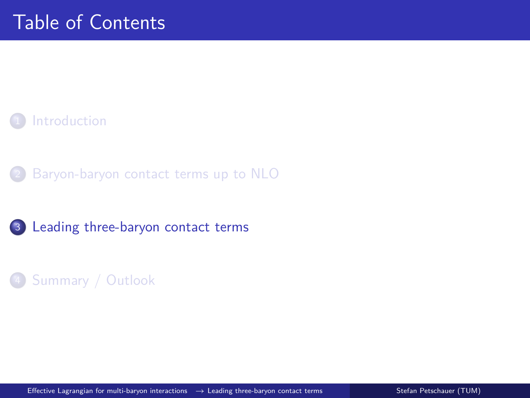#### **[Introduction](#page-1-0)**

[Baryon-baryon contact terms up to NLO](#page-4-0)

#### <sup>3</sup> [Leading three-baryon contact terms](#page-12-0)

#### <span id="page-12-0"></span><sup>4</sup> [Summary / Outlook](#page-24-0)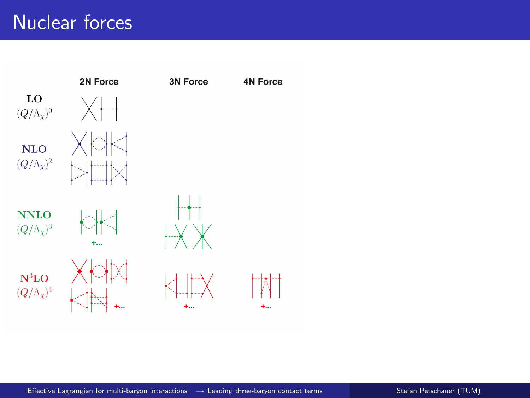# Nuclear forces

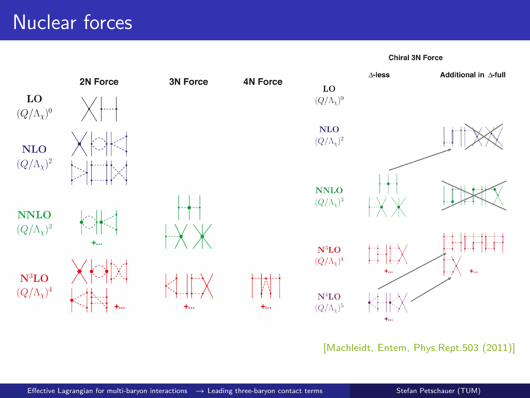## Nuclear forces

Chiral 3N Force



[Machleidt, Entem, Phys.Rept.503 (2011)]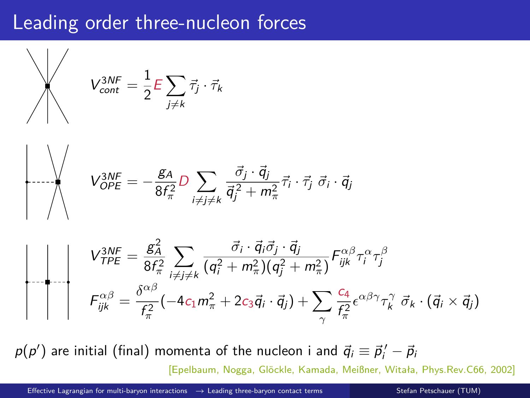### Leading order three-nucleon forces

$$
V_{cont}^{3NF} = \frac{1}{2} E \sum_{j \neq k} \vec{\tau}_j \cdot \vec{\tau}_k
$$
\n
$$
V_{OPE}^{3NF} = -\frac{g_A}{8f_{\pi}^2} D \sum_{i \neq j \neq k} \frac{\vec{\sigma}_j \cdot \vec{q}_j}{\vec{q}_j^2 + m_{\pi}^2} \vec{\tau}_i \cdot \vec{\tau}_j \vec{\sigma}_i \cdot \vec{q}_j
$$
\n
$$
V_{TPE}^{3NF} = \frac{g_A^2}{8f_{\pi}^2} \sum_{i \neq j \neq k} \frac{\vec{\sigma}_i \cdot \vec{q}_i \vec{\sigma}_j \cdot \vec{q}_j}{(q_i^2 + m_{\pi}^2)(q_j^2 + m_{\pi}^2)} F_{ijk}^{\alpha \beta} \tau_i^{\alpha} \tau_j^{\beta}
$$
\n
$$
F_{ijk}^{\alpha \beta} = \frac{\delta^{\alpha \beta}}{f_{\pi}^2} (-4c_1 m_{\pi}^2 + 2c_3 \vec{q}_i \cdot \vec{q}_j) + \sum_{\gamma} \frac{c_4}{f_{\pi}^2} e^{\alpha \beta \gamma} \tau_k^{\gamma} \vec{\sigma}_k \cdot (\vec{q}_i \times \vec{q}_j)
$$

 $p ( p' )$  are initial (final) momenta of the nucleon i and  $\vec{q}_i \equiv \vec{p}_i^{\, \prime} - \vec{p}_i$ [Epelbaum, Nogga, Glöckle, Kamada, Meißner, Witała, Phys.Rev.C66, 2002]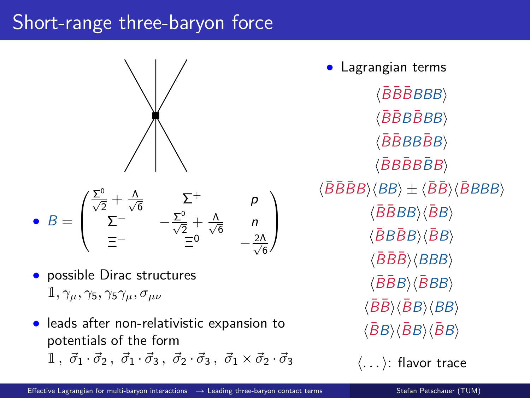## Short-range three-baryon force



• 
$$
B = \begin{pmatrix} \frac{\Sigma^0}{\sqrt{2}} + \frac{\Lambda}{\sqrt{6}} & \Sigma^+ & p \\ \Sigma^- & -\frac{\Sigma^0}{\sqrt{2}} + \frac{\Lambda}{\sqrt{6}} & n \\ \Xi^- & \Xi^0 & -\frac{2\Lambda}{\sqrt{6}} \end{pmatrix}
$$

- possible Dirac structures  $1, \gamma_\mu, \gamma_5, \gamma_5 \gamma_\mu, \sigma_{\mu\nu}$
- leads after non-relativistic expansion to potentials of the form  $1, \overrightarrow{\sigma}_1 \cdot \overrightarrow{\sigma}_2, \overrightarrow{\sigma}_1 \cdot \overrightarrow{\sigma}_3, \overrightarrow{\sigma}_2 \cdot \overrightarrow{\sigma}_3, \overrightarrow{\sigma}_1 \times \overrightarrow{\sigma}_2 \cdot \overrightarrow{\sigma}_3$

• Lagrangian terms  $\langle \bar{B} \bar{B} \bar{B} B B B \rangle$  $\langle \bar{B} \bar{B} B \bar{B} B B \rangle$  $\langle \bar{B} \bar{B} B B \bar{B} B \rangle$  $\langle \bar{B}B\bar{B}B\bar{B}B\rangle$  $\langle \bar{B}\bar{B}B\bar{B}B\rangle \langle BB\rangle \pm \langle \bar{B}\bar{B}\rangle \langle \bar{B}BBB\rangle$  $\langle \bar{B} \bar{B} BB \rangle \langle \bar{B} B \rangle$  $\langle \bar{B}B\bar{B}B\rangle \langle \bar{B}B\rangle$  $\langle \bar{B}\bar{B}\bar{B}\rangle\langle BBB\rangle$  $\langle \bar{B} \bar{B} B \rangle \langle \bar{B} B B \rangle$  $\langle \bar{B}\bar{B} \rangle \langle \bar{B}B \rangle \langle BB \rangle$  $\langle\bar{B}B\rangle\langle\bar{B}B\rangle\langle\bar{B}B\rangle$ 

 $\langle \ldots \rangle$ : flavor trace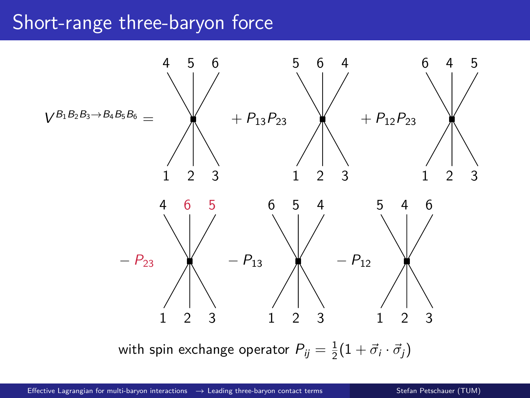### Short-range three-baryon force



with spin exchange operator  $P_{ij} = \frac{1}{2}(1 + \vec{\sigma}_i \cdot \vec{\sigma}_j)$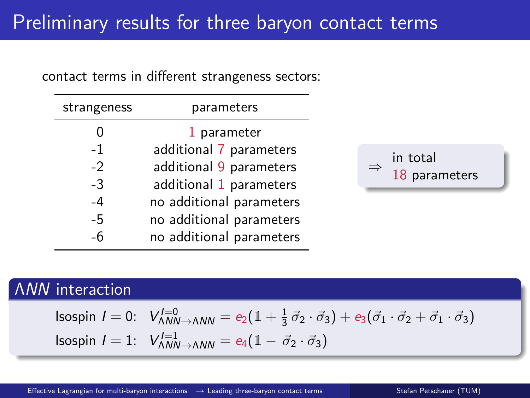contact terms in different strangeness sectors:

| strangeness | parameters               |
|-------------|--------------------------|
|             | 1 parameter              |
| $-1$        | additional 7 parameters  |
| $-2$        | additional 9 parameters  |
| $-3$        | additional 1 parameters  |
| $-4$        | no additional parameters |
| $-5$        | no additional parameters |
| -6          | no additional parameters |



#### ΛNN interaction

Isospin 
$$
I = 0
$$
:  $V_{\Lambda NN \to \Lambda NN}^{I=0} = e_2(1 + \frac{1}{3}\vec{\sigma}_2 \cdot \vec{\sigma}_3) + e_3(\vec{\sigma}_1 \cdot \vec{\sigma}_2 + \vec{\sigma}_1 \cdot \vec{\sigma}_3)$   
\nIsospin  $I = 1$ :  $V_{\Lambda NN \to \Lambda NN}^{I=1} = e_4(1 - \vec{\sigma}_2 \cdot \vec{\sigma}_3)$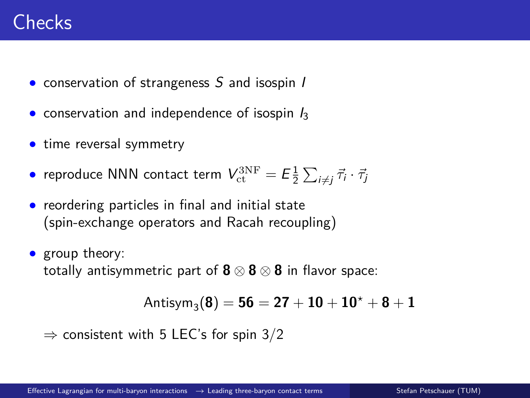## Checks

- conservation of strangeness S and isospin I
- conservation and independence of isospin  $I_3$
- time reversal symmetry
- $\bullet$  reproduce NNN contact term  $V_{\rm ct}^{\rm 3NF} = {\it E}{\textstyle \frac{1}{2}}\sum_{i\neq j}{\vec \tau}_i\cdot{\vec \tau}_j$
- reordering particles in final and initial state (spin-exchange operators and Racah recoupling)
- group theory: totally antisymmetric part of **8** ⊗ **8** ⊗ **8** in flavor space:

```
\text{Antisym}_{3}\left( 8 \right) = 56 = 27 + 10 + 10^{\star} + 8 + 1
```

```
\Rightarrow consistent with 5 LEC's for spin 3/2
```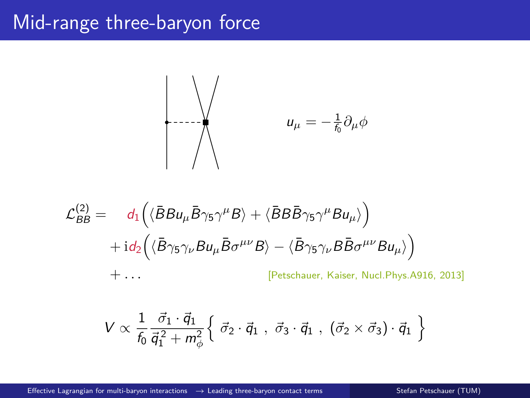### Mid-range three-baryon force



$$
\mathcal{L}_{BB}^{(2)} = d_1 \left( \langle \bar{B} B u_{\mu} \bar{B} \gamma_5 \gamma^{\mu} B \rangle + \langle \bar{B} B \bar{B} \gamma_5 \gamma^{\mu} B u_{\mu} \rangle \right) \n+ id_2 \left( \langle \bar{B} \gamma_5 \gamma_{\nu} B u_{\mu} \bar{B} \sigma^{\mu \nu} B \rangle - \langle \bar{B} \gamma_5 \gamma_{\nu} B \bar{B} \sigma^{\mu \nu} B u_{\mu} \rangle \right) \n+ \dots \qquad \qquad [\text{Petschauer, Kaiser, Nucl. Phys. A916, 2013]}
$$

$$
V \propto \frac{1}{f_0} \frac{\vec{\sigma}_1 \cdot \vec{q}_1}{\vec{q}_1^2 + m_\phi^2} \left\{ \vec{\sigma}_2 \cdot \vec{q}_1 \; , \; \vec{\sigma}_3 \cdot \vec{q}_1 \; , \; (\vec{\sigma}_2 \times \vec{\sigma}_3) \cdot \vec{q}_1 \; \right\}
$$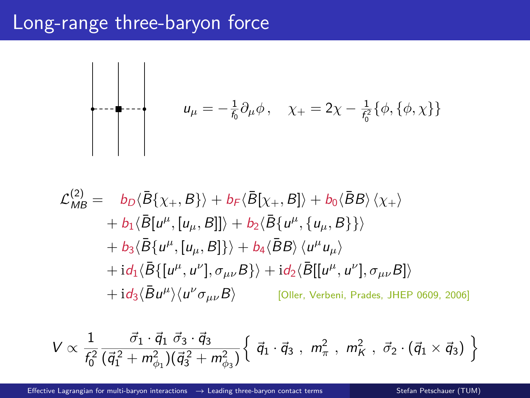### Long-range three-baryon force



$$
\mathcal{L}_{MB}^{(2)} = b_D \langle \bar{B} \{ \chi_+, B \} \rangle + b_F \langle \bar{B} [\chi_+, B] \rangle + b_0 \langle \bar{B} B \rangle \langle \chi_+ \rangle \n+ b_1 \langle \bar{B} [u^\mu, [u_\mu, B]] \rangle + b_2 \langle \bar{B} \{ u^\mu, \{ u_\mu, B \} \} \rangle \n+ b_3 \langle \bar{B} \{ u^\mu, [u_\mu, B] \} \rangle + b_4 \langle \bar{B} B \rangle \langle u^\mu u_\mu \rangle \n+ id_1 \langle \bar{B} \{ [u^\mu, u^\nu], \sigma_{\mu\nu} B \} \rangle + id_2 \langle \bar{B} [[u^\mu, u^\nu], \sigma_{\mu\nu} B] \rangle \n+ id_3 \langle \bar{B} u^\mu \rangle \langle u^\nu \sigma_{\mu\nu} B \rangle
$$
\n[Oller, Verbeni, Prades, JHEP 0609, 2006]

$$
V \propto \frac{1}{f_0^2} \frac{\vec{\sigma}_1 \cdot \vec{q}_1 \ \vec{\sigma}_3 \cdot \vec{q}_3}{(\vec{q}_1^2 + m_{\phi_1}^2)(\vec{q}_3^2 + m_{\phi_3}^2)} \left\{ \vec{q}_1 \cdot \vec{q}_3 \ , \ m_{\pi}^2 \ , \ m_K^2 \ , \ \vec{\sigma}_2 \cdot (\vec{q}_1 \times \vec{q}_3) \ \right\}
$$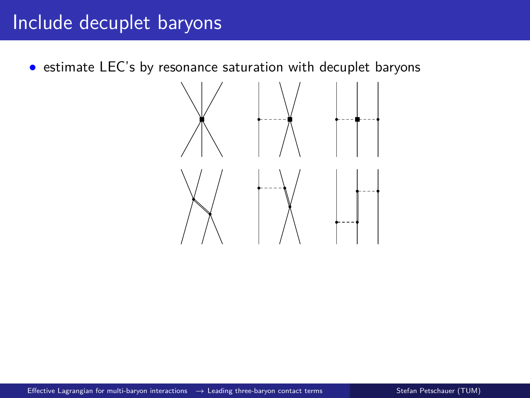# Include decuplet baryons

• estimate LEC's by resonance saturation with decuplet baryons

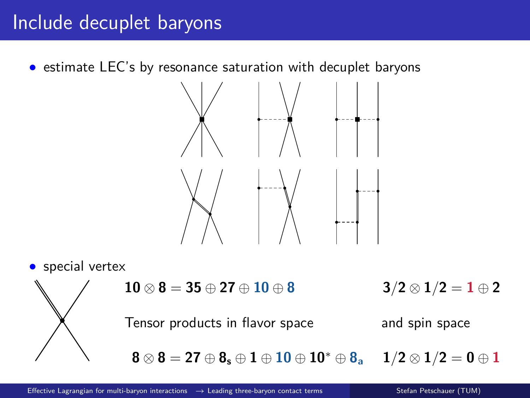# Include decuplet baryons

• estimate LEC's by resonance saturation with decuplet baryons



• special vertex



**10** ⊗ **8** = **35** ⊕ **27** ⊕ **10** ⊕ **8 3** */***2** ⊗ **1**/**2** = **1** ⊕ **2** 

Tensor products in flavor space and spin space

**8** ⊗ **8** = **27** ⊕ **8<sup>s</sup>** ⊕ **1** ⊕ **10** ⊕ **10**<sup>∗</sup> ⊕ **8<sup>a</sup> 1***/***2** ⊗ **1***/***2** = **0** ⊕ **1**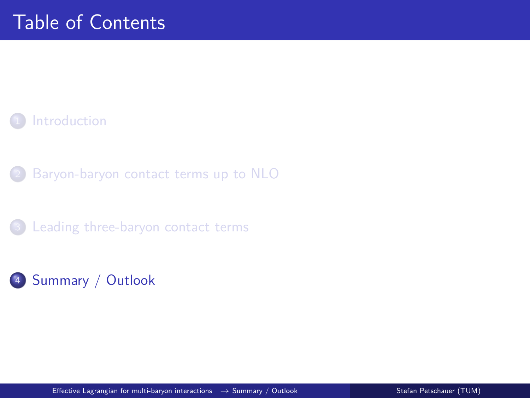#### **[Introduction](#page-1-0)**

[Baryon-baryon contact terms up to NLO](#page-4-0)

<sup>3</sup> [Leading three-baryon contact terms](#page-12-0)

#### <span id="page-24-0"></span><sup>4</sup> [Summary / Outlook](#page-24-0)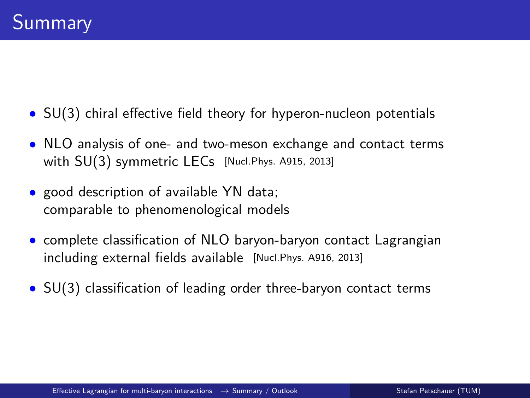- SU(3) chiral effective field theory for hyperon-nucleon potentials
- NLO analysis of one- and two-meson exchange and contact terms with SU(3) symmetric LECs [Nucl.Phys. A915, 2013]
- good description of available YN data; comparable to phenomenological models
- complete classification of NLO baryon-baryon contact Lagrangian including external fields available [Nucl.Phys. A916, 2013]
- SU(3) classification of leading order three-baryon contact terms